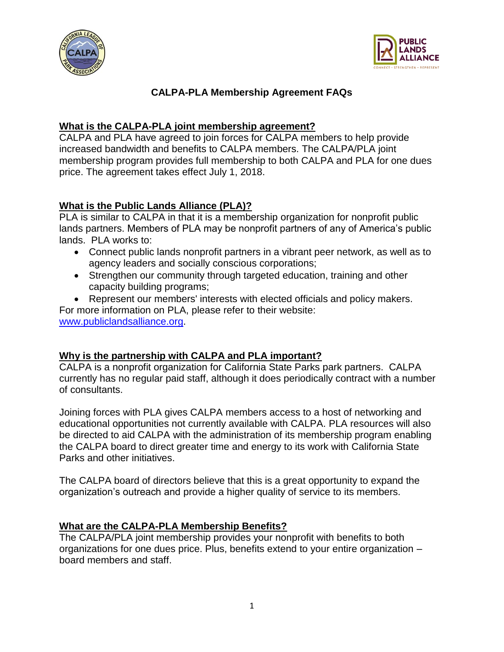



# **CALPA-PLA Membership Agreement FAQs**

### **What is the CALPA-PLA joint membership agreement?**

CALPA and PLA have agreed to join forces for CALPA members to help provide increased bandwidth and benefits to CALPA members. The CALPA/PLA joint membership program provides full membership to both CALPA and PLA for one dues price. The agreement takes effect July 1, 2018.

## **What is the Public Lands Alliance (PLA)?**

PLA is similar to CALPA in that it is a membership organization for nonprofit public lands partners. Members of PLA may be nonprofit partners of any of America's public lands. PLA works to:

- Connect public lands nonprofit partners in a vibrant peer network, as well as to agency leaders and socially conscious corporations;
- Strengthen our community through targeted education, training and other capacity building programs;

• Represent our members' interests with elected officials and policy makers. For more information on PLA, please refer to their website: [www.publiclandsalliance.org.](http://www.publiclandsalliance.org/)

### **Why is the partnership with CALPA and PLA important?**

CALPA is a nonprofit organization for California State Parks park partners. CALPA currently has no regular paid staff, although it does periodically contract with a number of consultants.

Joining forces with PLA gives CALPA members access to a host of networking and educational opportunities not currently available with CALPA. PLA resources will also be directed to aid CALPA with the administration of its membership program enabling the CALPA board to direct greater time and energy to its work with California State Parks and other initiatives.

The CALPA board of directors believe that this is a great opportunity to expand the organization's outreach and provide a higher quality of service to its members.

### **What are the CALPA-PLA Membership Benefits?**

The CALPA/PLA joint membership provides your nonprofit with benefits to both organizations for one dues price. Plus, benefits extend to your entire organization – board members and staff.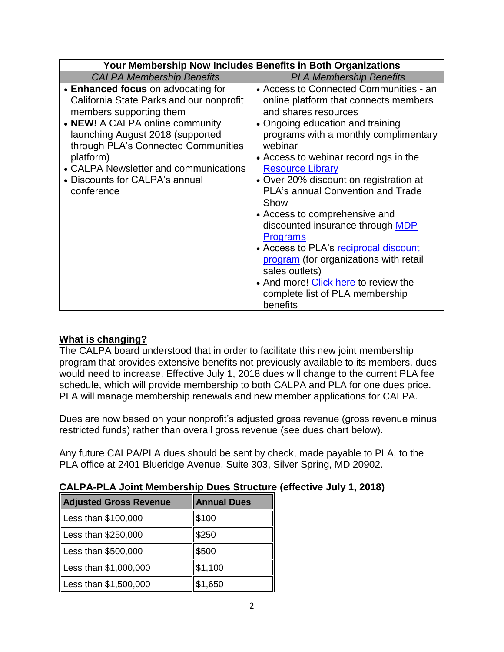| Your Membership Now Includes Benefits in Both Organizations                                                                                                                                                                                                                                                                   |                                                                                                                                                                                                                                                                                                                                                                                                                                                                                                                                                                                                                                                       |  |
|-------------------------------------------------------------------------------------------------------------------------------------------------------------------------------------------------------------------------------------------------------------------------------------------------------------------------------|-------------------------------------------------------------------------------------------------------------------------------------------------------------------------------------------------------------------------------------------------------------------------------------------------------------------------------------------------------------------------------------------------------------------------------------------------------------------------------------------------------------------------------------------------------------------------------------------------------------------------------------------------------|--|
| <b>CALPA Membership Benefits</b>                                                                                                                                                                                                                                                                                              | <b>PLA Membership Benefits</b>                                                                                                                                                                                                                                                                                                                                                                                                                                                                                                                                                                                                                        |  |
| • Enhanced focus on advocating for<br>California State Parks and our nonprofit<br>members supporting them<br>• NEW! A CALPA online community<br>launching August 2018 (supported<br>through PLA's Connected Communities<br>platform)<br>• CALPA Newsletter and communications<br>• Discounts for CALPA's annual<br>conference | • Access to Connected Communities - an<br>online platform that connects members<br>and shares resources<br>• Ongoing education and training<br>programs with a monthly complimentary<br>webinar<br>• Access to webinar recordings in the<br><b>Resource Library</b><br>• Over 20% discount on registration at<br><b>PLA's annual Convention and Trade</b><br>Show<br>• Access to comprehensive and<br>discounted insurance through MDP<br><b>Programs</b><br>• Access to PLA's reciprocal discount<br>program (for organizations with retail<br>sales outlets)<br>• And more! Click here to review the<br>complete list of PLA membership<br>benefits |  |

### **What is changing?**

The CALPA board understood that in order to facilitate this new joint membership program that provides extensive benefits not previously available to its members, dues would need to increase. Effective July 1, 2018 dues will change to the current PLA fee schedule, which will provide membership to both CALPA and PLA for one dues price. PLA will manage membership renewals and new member applications for CALPA.

Dues are now based on your nonprofit's adjusted gross revenue (gross revenue minus restricted funds) rather than overall gross revenue (see dues chart below).

Any future CALPA/PLA dues should be sent by check, made payable to PLA, to the PLA office at 2401 Blueridge Avenue, Suite 303, Silver Spring, MD 20902.

| Adjusted Gross Revenue | <b>Annual Dues</b> |
|------------------------|--------------------|
| Less than \$100,000    | \$100              |
| Less than \$250,000    | \$250              |
| Less than \$500,000    | \$500              |
| Less than \$1,000,000  | \$1,100            |
| Less than \$1,500,000  | \$1,650            |

**CALPA-PLA Joint Membership Dues Structure (effective July 1, 2018)**